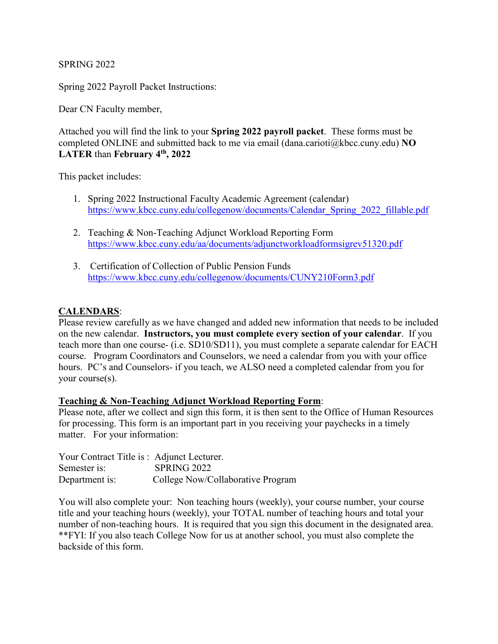SPRING 2022

Spring 2022 Payroll Packet Instructions:

Dear CN Faculty member,

Attached you will find the link to your **Spring 2022 payroll packet**. These forms must be completed ONLINE and submitted back to me via email (dana.carioti@kbcc.cuny.edu) **NO LATER** than **February 4th, 2022**

This packet includes:

- 1. Spring 2022 Instructional Faculty Academic Agreement (calendar) [https://www.kbcc.cuny.edu/collegenow/documents/Calendar\\_Spring\\_2022\\_fillable.pdf](https://www.kbcc.cuny.edu/collegenow/documents/Calendar_Spring_2022_fillable.pdf)
- 2. Teaching & Non-Teaching Adjunct Workload Reporting Form <https://www.kbcc.cuny.edu/aa/documents/adjunctworkloadformsigrev51320.pdf>
- 3. Certification of Collection of Public Pension Funds <https://www.kbcc.cuny.edu/collegenow/documents/CUNY210Form3.pdf>

## **CALENDARS**:

Please review carefully as we have changed and added new information that needs to be included on the new calendar. **Instructors, you must complete every section of your calendar**. If you teach more than one course- (i.e. SD10/SD11), you must complete a separate calendar for EACH course. Program Coordinators and Counselors, we need a calendar from you with your office hours. PC's and Counselors- if you teach, we ALSO need a completed calendar from you for your course(s).

## **Teaching & Non-Teaching Adjunct Workload Reporting Form**:

Please note, after we collect and sign this form, it is then sent to the Office of Human Resources for processing. This form is an important part in you receiving your paychecks in a timely matter. For your information:

| Your Contract Title is : Adjunct Lecturer. |                                   |
|--------------------------------------------|-----------------------------------|
| Semester is:                               | SPRING 2022                       |
| Department is:                             | College Now/Collaborative Program |

You will also complete your: Non teaching hours (weekly), your course number, your course title and your teaching hours (weekly), your TOTAL number of teaching hours and total your number of non-teaching hours. It is required that you sign this document in the designated area. \*\*FYI: If you also teach College Now for us at another school, you must also complete the backside of this form.